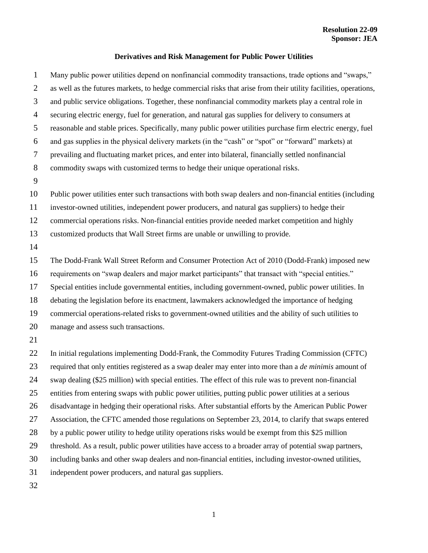## **Derivatives and Risk Management for Public Power Utilities**

 Many public power utilities depend on nonfinancial commodity transactions, trade options and "swaps," as well as the futures markets, to hedge commercial risks that arise from their utility facilities, operations, and public service obligations. Together, these nonfinancial commodity markets play a central role in securing electric energy, fuel for generation, and natural gas supplies for delivery to consumers at reasonable and stable prices. Specifically, many public power utilities purchase firm electric energy, fuel and gas supplies in the physical delivery markets (in the "cash" or "spot" or "forward" markets) at prevailing and fluctuating market prices, and enter into bilateral, financially settled nonfinancial commodity swaps with customized terms to hedge their unique operational risks. Public power utilities enter such transactions with both swap dealers and non-financial entities (including investor-owned utilities, independent power producers, and natural gas suppliers) to hedge their commercial operations risks. Non-financial entities provide needed market competition and highly customized products that Wall Street firms are unable or unwilling to provide. The Dodd-Frank Wall Street Reform and Consumer Protection Act of 2010 (Dodd-Frank) imposed new requirements on "swap dealers and major market participants" that transact with "special entities." Special entities include governmental entities, including government-owned, public power utilities. In debating the legislation before its enactment, lawmakers acknowledged the importance of hedging commercial operations-related risks to government-owned utilities and the ability of such utilities to manage and assess such transactions. In initial regulations implementing Dodd-Frank, the Commodity Futures Trading Commission (CFTC) required that only entities registered as a swap dealer may enter into more than a *de minimis* amount of swap dealing (\$25 million) with special entities. The effect of this rule was to prevent non-financial entities from entering swaps with public power utilities, putting public power utilities at a serious disadvantage in hedging their operational risks. After substantial efforts by the American Public Power Association, the CFTC amended those regulations on September 23, 2014, to clarify that swaps entered by a public power utility to hedge utility operations risks would be exempt from this \$25 million threshold. As a result, public power utilities have access to a broader array of potential swap partners, including banks and other swap dealers and non-financial entities, including investor-owned utilities, independent power producers, and natural gas suppliers.